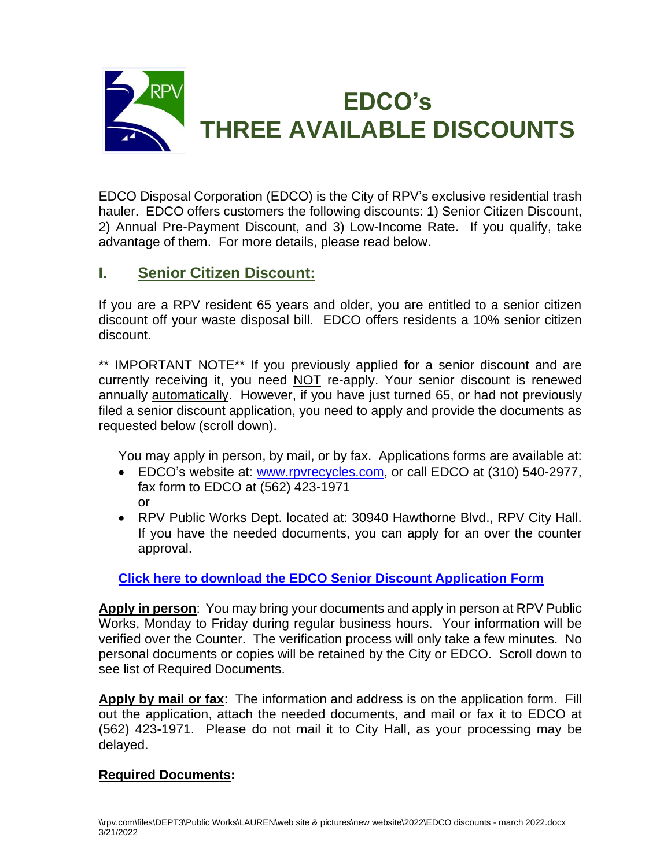

EDCO Disposal Corporation (EDCO) is the City of RPV's exclusive residential trash hauler. EDCO offers customers the following discounts: 1) Senior Citizen Discount, 2) Annual Pre-Payment Discount, and 3) Low-Income Rate. If you qualify, take advantage of them. For more details, please read below.

# **I. Senior Citizen Discount:**

If you are a RPV resident 65 years and older, you are entitled to a senior citizen discount off your waste disposal bill. EDCO offers residents a 10% senior citizen discount.

\*\* IMPORTANT NOTE\*\* If you previously applied for a senior discount and are currently receiving it, you need NOT re-apply. Your senior discount is renewed annually automatically. However, if you have just turned 65, or had not previously filed a senior discount application, you need to apply and provide the documents as requested below (scroll down).

You may apply in person, by mail, or by fax. Applications forms are available at:

- EDCO's website at: [www.rpvrecycles.com,](http://www.rpvrecycles.com/) or call EDCO at (310) 540-2977, fax form to EDCO at (562) 423-1971 or
- RPV Public Works Dept. located at: 30940 Hawthorne Blvd., RPV City Hall. If you have the needed documents, you can apply for an over the counter approval.

### **[Click here to download the EDCO Senior Discount Application Form](file://///rpv.com/Files/DEPT3/Public%20Works/LAUREN/web%20site%20&%20pictures/new%20website/EDCO%20Sr%20disc%20forms.pdf)**

**Apply in person**: You may bring your documents and apply in person at RPV Public Works, Monday to Friday during regular business hours. Your information will be verified over the Counter. The verification process will only take a few minutes. No personal documents or copies will be retained by the City or EDCO. Scroll down to see list of Required Documents.

**Apply by mail or fax**: The information and address is on the application form. Fill out the application, attach the needed documents, and mail or fax it to EDCO at (562) 423-1971. Please do not mail it to City Hall, as your processing may be delayed.

### **Required Documents:**